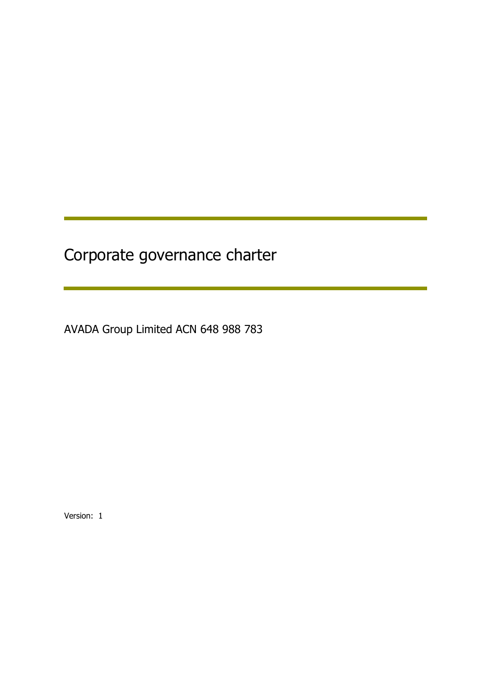# Corporate governance charter

AVADA Group Limited ACN 648 988 783

Version: 1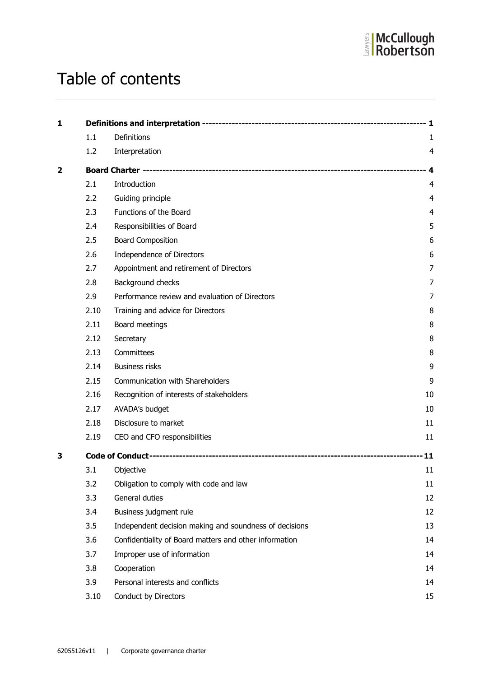

# Table of contents

| 1                       |      |                                                        |                |
|-------------------------|------|--------------------------------------------------------|----------------|
|                         | 1.1  | Definitions                                            | 1              |
|                         | 1.2  | Interpretation                                         | $\overline{4}$ |
|                         |      |                                                        |                |
| $\overline{\mathbf{2}}$ |      |                                                        | - 4            |
|                         | 2.1  | Introduction                                           | $\overline{4}$ |
|                         | 2.2  | Guiding principle                                      | $\overline{4}$ |
|                         | 2.3  | Functions of the Board                                 | 4              |
|                         | 2.4  | Responsibilities of Board                              | 5              |
|                         | 2.5  | <b>Board Composition</b>                               | 6              |
|                         | 2.6  | Independence of Directors                              | 6              |
|                         | 2.7  | Appointment and retirement of Directors                | 7              |
|                         | 2.8  | Background checks                                      | 7              |
|                         | 2.9  | Performance review and evaluation of Directors         | 7              |
|                         | 2.10 | Training and advice for Directors                      | 8              |
|                         | 2.11 | Board meetings                                         | 8              |
|                         | 2.12 | Secretary                                              | 8              |
|                         | 2.13 | Committees                                             | 8              |
|                         | 2.14 | <b>Business risks</b>                                  | 9              |
|                         | 2.15 | Communication with Shareholders                        | 9              |
|                         | 2.16 | Recognition of interests of stakeholders               | 10             |
|                         | 2.17 | AVADA's budget                                         | 10             |
|                         | 2.18 | Disclosure to market                                   | 11             |
|                         | 2.19 | CEO and CFO responsibilities                           | 11             |
| з                       |      |                                                        | 11             |
|                         | 3.1  | Objective                                              | 11             |
|                         | 3.2  | Obligation to comply with code and law                 | 11             |
|                         | 3.3  | General duties                                         | 12             |
|                         | 3.4  | Business judgment rule                                 | 12             |
|                         | 3.5  | Independent decision making and soundness of decisions | 13             |
|                         | 3.6  | Confidentiality of Board matters and other information | 14             |
|                         | 3.7  | Improper use of information                            | 14             |
|                         | 3.8  | Cooperation                                            | 14             |
|                         | 3.9  | Personal interests and conflicts                       | 14             |
|                         | 3.10 | Conduct by Directors                                   | 15             |
|                         |      |                                                        |                |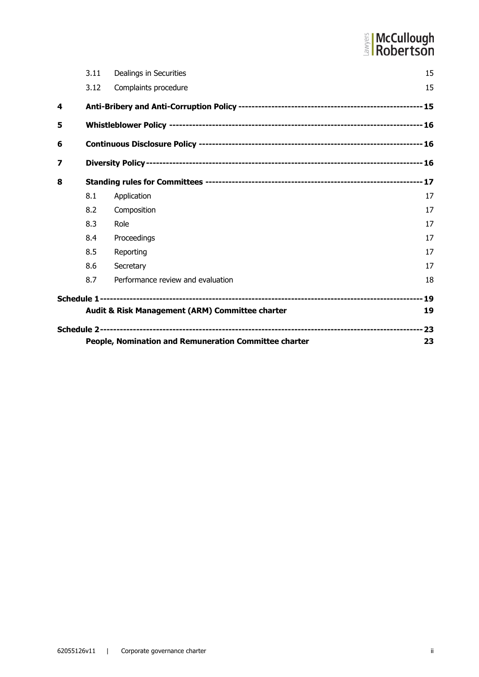# **E** McCullough

|   |      | People, Nomination and Remuneration Committee charter | 23 |  |  |
|---|------|-------------------------------------------------------|----|--|--|
|   |      |                                                       |    |  |  |
|   |      | Audit & Risk Management (ARM) Committee charter       | 19 |  |  |
|   |      |                                                       |    |  |  |
|   | 8.7  | Performance review and evaluation                     | 18 |  |  |
|   | 8.6  | Secretary                                             | 17 |  |  |
|   | 8.5  | Reporting                                             | 17 |  |  |
|   | 8.4  | Proceedings                                           | 17 |  |  |
|   | 8.3  | Role                                                  | 17 |  |  |
|   | 8.2  | Composition                                           | 17 |  |  |
|   | 8.1  | Application                                           | 17 |  |  |
| 8 |      |                                                       |    |  |  |
| 7 |      |                                                       |    |  |  |
| 6 |      |                                                       |    |  |  |
| 5 |      |                                                       |    |  |  |
| 4 |      |                                                       |    |  |  |
|   | 3.12 | Complaints procedure                                  | 15 |  |  |
|   | 3.11 | Dealings in Securities                                | 15 |  |  |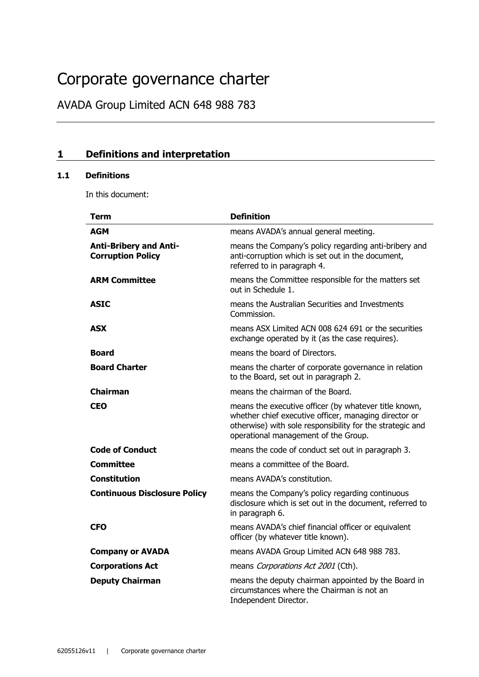# Corporate governance charter

AVADA Group Limited ACN 648 988 783

# **1 Definitions and interpretation**

## **1.1 Definitions**

In this document:

| <b>Term</b>                                               | <b>Definition</b>                                                                                                                                                                                                   |
|-----------------------------------------------------------|---------------------------------------------------------------------------------------------------------------------------------------------------------------------------------------------------------------------|
| AGM                                                       | means AVADA's annual general meeting.                                                                                                                                                                               |
| <b>Anti-Bribery and Anti-</b><br><b>Corruption Policy</b> | means the Company's policy regarding anti-bribery and<br>anti-corruption which is set out in the document,<br>referred to in paragraph 4.                                                                           |
| <b>ARM Committee</b>                                      | means the Committee responsible for the matters set<br>out in Schedule 1.                                                                                                                                           |
| <b>ASIC</b>                                               | means the Australian Securities and Investments<br>Commission.                                                                                                                                                      |
| <b>ASX</b>                                                | means ASX Limited ACN 008 624 691 or the securities<br>exchange operated by it (as the case requires).                                                                                                              |
| <b>Board</b>                                              | means the board of Directors.                                                                                                                                                                                       |
| <b>Board Charter</b>                                      | means the charter of corporate governance in relation<br>to the Board, set out in paragraph 2.                                                                                                                      |
| <b>Chairman</b>                                           | means the chairman of the Board.                                                                                                                                                                                    |
| CEO                                                       | means the executive officer (by whatever title known,<br>whether chief executive officer, managing director or<br>otherwise) with sole responsibility for the strategic and<br>operational management of the Group. |
| <b>Code of Conduct</b>                                    | means the code of conduct set out in paragraph 3.                                                                                                                                                                   |
| <b>Committee</b>                                          | means a committee of the Board.                                                                                                                                                                                     |
| <b>Constitution</b>                                       | means AVADA's constitution.                                                                                                                                                                                         |
| <b>Continuous Disclosure Policy</b>                       | means the Company's policy regarding continuous<br>disclosure which is set out in the document, referred to<br>in paragraph 6.                                                                                      |
| <b>CFO</b>                                                | means AVADA's chief financial officer or equivalent<br>officer (by whatever title known).                                                                                                                           |
| <b>Company or AVADA</b>                                   | means AVADA Group Limited ACN 648 988 783.                                                                                                                                                                          |
| <b>Corporations Act</b>                                   | means Corporations Act 2001 (Cth).                                                                                                                                                                                  |
| <b>Deputy Chairman</b>                                    | means the deputy chairman appointed by the Board in<br>circumstances where the Chairman is not an<br>Independent Director.                                                                                          |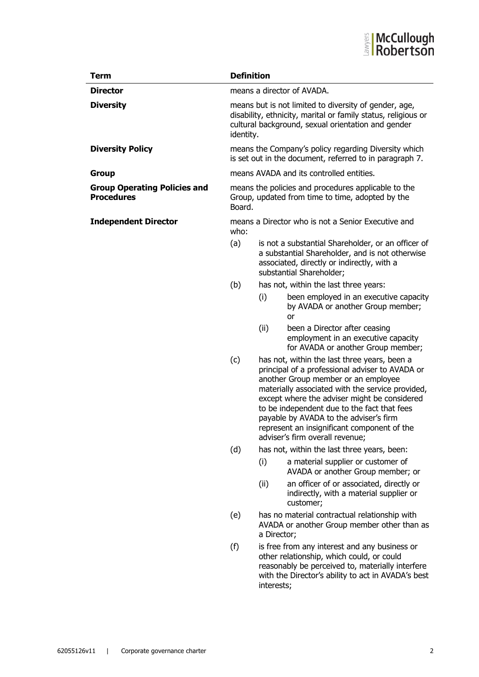

| <b>Term</b>                                              | <b>Definition</b>                                                                                                                                                                         |                                                                                                                 |                                                                                                                                                                                                                                                                                                                                                                                                                       |  |
|----------------------------------------------------------|-------------------------------------------------------------------------------------------------------------------------------------------------------------------------------------------|-----------------------------------------------------------------------------------------------------------------|-----------------------------------------------------------------------------------------------------------------------------------------------------------------------------------------------------------------------------------------------------------------------------------------------------------------------------------------------------------------------------------------------------------------------|--|
| <b>Director</b>                                          | means a director of AVADA.                                                                                                                                                                |                                                                                                                 |                                                                                                                                                                                                                                                                                                                                                                                                                       |  |
| <b>Diversity</b>                                         | means but is not limited to diversity of gender, age,<br>disability, ethnicity, marital or family status, religious or<br>cultural background, sexual orientation and gender<br>identity. |                                                                                                                 |                                                                                                                                                                                                                                                                                                                                                                                                                       |  |
| <b>Diversity Policy</b>                                  |                                                                                                                                                                                           | means the Company's policy regarding Diversity which<br>is set out in the document, referred to in paragraph 7. |                                                                                                                                                                                                                                                                                                                                                                                                                       |  |
| <b>Group</b>                                             |                                                                                                                                                                                           | means AVADA and its controlled entities.                                                                        |                                                                                                                                                                                                                                                                                                                                                                                                                       |  |
| <b>Group Operating Policies and</b><br><b>Procedures</b> | means the policies and procedures applicable to the<br>Group, updated from time to time, adopted by the<br>Board.                                                                         |                                                                                                                 |                                                                                                                                                                                                                                                                                                                                                                                                                       |  |
| <b>Independent Director</b>                              | who:                                                                                                                                                                                      | means a Director who is not a Senior Executive and                                                              |                                                                                                                                                                                                                                                                                                                                                                                                                       |  |
|                                                          | (a)                                                                                                                                                                                       |                                                                                                                 | is not a substantial Shareholder, or an officer of<br>a substantial Shareholder, and is not otherwise<br>associated, directly or indirectly, with a<br>substantial Shareholder;                                                                                                                                                                                                                                       |  |
|                                                          | (b)                                                                                                                                                                                       |                                                                                                                 | has not, within the last three years:                                                                                                                                                                                                                                                                                                                                                                                 |  |
|                                                          |                                                                                                                                                                                           | (i)                                                                                                             | been employed in an executive capacity<br>by AVADA or another Group member;<br>or                                                                                                                                                                                                                                                                                                                                     |  |
|                                                          |                                                                                                                                                                                           | (ii)                                                                                                            | been a Director after ceasing<br>employment in an executive capacity<br>for AVADA or another Group member;                                                                                                                                                                                                                                                                                                            |  |
|                                                          | (c)                                                                                                                                                                                       |                                                                                                                 | has not, within the last three years, been a<br>principal of a professional adviser to AVADA or<br>another Group member or an employee<br>materially associated with the service provided,<br>except where the adviser might be considered<br>to be independent due to the fact that fees<br>payable by AVADA to the adviser's firm<br>represent an insignificant component of the<br>adviser's firm overall revenue; |  |
|                                                          | (d)                                                                                                                                                                                       |                                                                                                                 | has not, within the last three years, been:                                                                                                                                                                                                                                                                                                                                                                           |  |
|                                                          |                                                                                                                                                                                           | (i)                                                                                                             | a material supplier or customer of<br>AVADA or another Group member; or                                                                                                                                                                                                                                                                                                                                               |  |
|                                                          |                                                                                                                                                                                           | (ii)                                                                                                            | an officer of or associated, directly or<br>indirectly, with a material supplier or<br>customer;                                                                                                                                                                                                                                                                                                                      |  |
|                                                          | (e)                                                                                                                                                                                       | a Director;                                                                                                     | has no material contractual relationship with<br>AVADA or another Group member other than as                                                                                                                                                                                                                                                                                                                          |  |
|                                                          | (f)                                                                                                                                                                                       | interests;                                                                                                      | is free from any interest and any business or<br>other relationship, which could, or could<br>reasonably be perceived to, materially interfere<br>with the Director's ability to act in AVADA's best                                                                                                                                                                                                                  |  |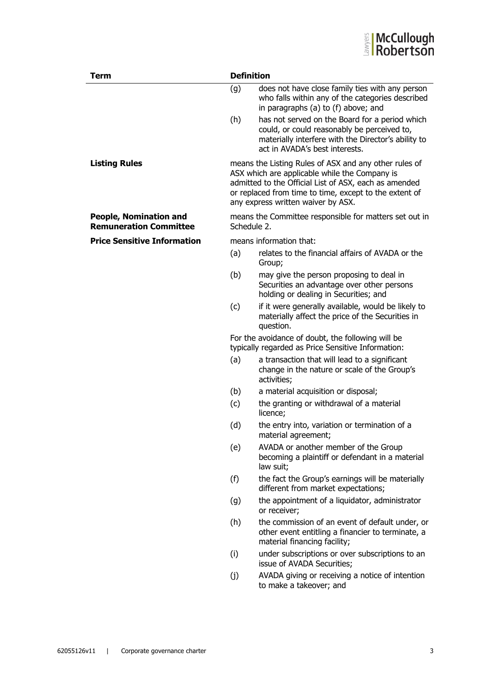

| <b>Term</b>                                                    | <b>Definition</b> |                                                                                                                                                                                                                                                                 |  |
|----------------------------------------------------------------|-------------------|-----------------------------------------------------------------------------------------------------------------------------------------------------------------------------------------------------------------------------------------------------------------|--|
|                                                                | (g)               | does not have close family ties with any person<br>who falls within any of the categories described<br>in paragraphs (a) to (f) above; and                                                                                                                      |  |
|                                                                | (h)               | has not served on the Board for a period which<br>could, or could reasonably be perceived to,<br>materially interfere with the Director's ability to<br>act in AVADA's best interests.                                                                          |  |
| <b>Listing Rules</b>                                           |                   | means the Listing Rules of ASX and any other rules of<br>ASX which are applicable while the Company is<br>admitted to the Official List of ASX, each as amended<br>or replaced from time to time, except to the extent of<br>any express written waiver by ASX. |  |
| <b>People, Nomination and</b><br><b>Remuneration Committee</b> | Schedule 2.       | means the Committee responsible for matters set out in                                                                                                                                                                                                          |  |
| <b>Price Sensitive Information</b>                             |                   | means information that:                                                                                                                                                                                                                                         |  |
|                                                                | (a)               | relates to the financial affairs of AVADA or the<br>Group;                                                                                                                                                                                                      |  |
|                                                                | (b)               | may give the person proposing to deal in<br>Securities an advantage over other persons<br>holding or dealing in Securities; and                                                                                                                                 |  |
|                                                                | (c)               | if it were generally available, would be likely to<br>materially affect the price of the Securities in<br>question.                                                                                                                                             |  |
|                                                                |                   | For the avoidance of doubt, the following will be<br>typically regarded as Price Sensitive Information:                                                                                                                                                         |  |
|                                                                | (a)               | a transaction that will lead to a significant<br>change in the nature or scale of the Group's<br>activities;                                                                                                                                                    |  |
|                                                                | (b)               | a material acquisition or disposal;                                                                                                                                                                                                                             |  |
|                                                                | (c)               | the granting or withdrawal of a material<br>licence;                                                                                                                                                                                                            |  |
|                                                                | (d)               | the entry into, variation or termination of a<br>material agreement;                                                                                                                                                                                            |  |
|                                                                | (e)               | AVADA or another member of the Group<br>becoming a plaintiff or defendant in a material<br>law suit;                                                                                                                                                            |  |
|                                                                | (f)               | the fact the Group's earnings will be materially<br>different from market expectations;                                                                                                                                                                         |  |
|                                                                | (g)               | the appointment of a liquidator, administrator<br>or receiver;                                                                                                                                                                                                  |  |
|                                                                | (h)               | the commission of an event of default under, or<br>other event entitling a financier to terminate, a<br>material financing facility;                                                                                                                            |  |
|                                                                | (i)               | under subscriptions or over subscriptions to an<br>issue of AVADA Securities;                                                                                                                                                                                   |  |
|                                                                | (j)               | AVADA giving or receiving a notice of intention<br>to make a takeover; and                                                                                                                                                                                      |  |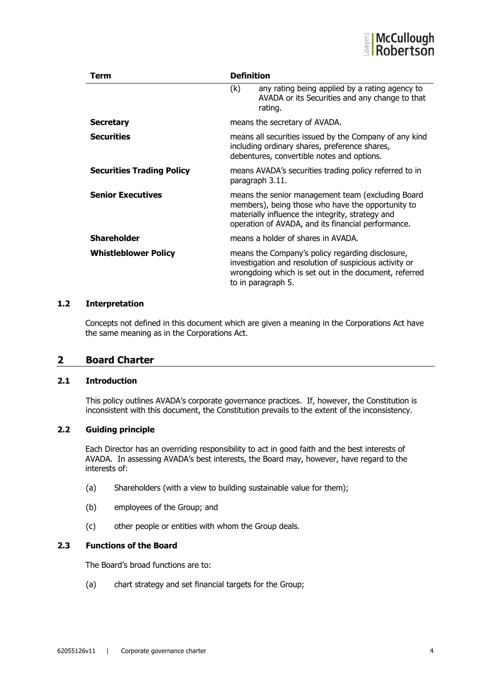

| Term                             | <b>Definition</b>                                                                                                                                                                                                |                                                                                                                                                                                           |  |
|----------------------------------|------------------------------------------------------------------------------------------------------------------------------------------------------------------------------------------------------------------|-------------------------------------------------------------------------------------------------------------------------------------------------------------------------------------------|--|
|                                  | (k)                                                                                                                                                                                                              | any rating being applied by a rating agency to<br>AVADA or its Securities and any change to that<br>rating.                                                                               |  |
| <b>Secretary</b>                 |                                                                                                                                                                                                                  | means the secretary of AVADA.                                                                                                                                                             |  |
| <b>Securities</b>                | means all securities issued by the Company of any kind<br>including ordinary shares, preference shares,<br>debentures, convertible notes and options.                                                            |                                                                                                                                                                                           |  |
| <b>Securities Trading Policy</b> |                                                                                                                                                                                                                  | means AVADA's securities trading policy referred to in<br>paragraph 3.11.                                                                                                                 |  |
| <b>Senior Executives</b>         | means the senior management team (excluding Board<br>members), being those who have the opportunity to<br>materially influence the integrity, strategy and<br>operation of AVADA, and its financial performance. |                                                                                                                                                                                           |  |
| <b>Shareholder</b>               |                                                                                                                                                                                                                  | means a holder of shares in AVADA.                                                                                                                                                        |  |
| <b>Whistleblower Policy</b>      |                                                                                                                                                                                                                  | means the Company's policy regarding disclosure,<br>investigation and resolution of suspicious activity or<br>wrongdoing which is set out in the document, referred<br>to in paragraph 5. |  |

#### **1.2 Interpretation**

Concepts not defined in this document which are given a meaning in the Corporations Act have the same meaning as in the Corporations Act.

#### **2 Board Charter**

#### **2.1 Introduction**

This policy outlines AVADA's corporate governance practices. If, however, the Constitution is inconsistent with this document, the Constitution prevails to the extent of the inconsistency.

## **2.2 Guiding principle**

Each Director has an overriding responsibility to act in good faith and the best interests of AVADA. In assessing AVADA's best interests, the Board may, however, have regard to the interests of:

- (a) Shareholders (with a view to building sustainable value for them);
- (b) employees of the Group; and
- (c) other people or entities with whom the Group deals.

#### **2.3 Functions of the Board**

The Board's broad functions are to:

(a) chart strategy and set financial targets for the Group;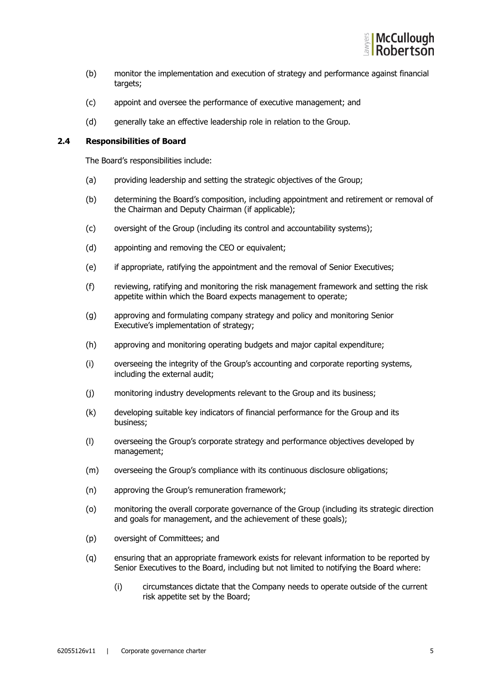

- (b) monitor the implementation and execution of strategy and performance against financial targets;
- (c) appoint and oversee the performance of executive management; and
- (d) generally take an effective leadership role in relation to the Group.

#### **2.4 Responsibilities of Board**

The Board's responsibilities include:

- (a) providing leadership and setting the strategic objectives of the Group;
- (b) determining the Board's composition, including appointment and retirement or removal of the Chairman and Deputy Chairman (if applicable);
- (c) oversight of the Group (including its control and accountability systems);
- (d) appointing and removing the CEO or equivalent;
- (e) if appropriate, ratifying the appointment and the removal of Senior Executives;
- (f) reviewing, ratifying and monitoring the risk management framework and setting the risk appetite within which the Board expects management to operate;
- (g) approving and formulating company strategy and policy and monitoring Senior Executive's implementation of strategy;
- (h) approving and monitoring operating budgets and major capital expenditure;
- (i) overseeing the integrity of the Group's accounting and corporate reporting systems, including the external audit;
- (j) monitoring industry developments relevant to the Group and its business;
- (k) developing suitable key indicators of financial performance for the Group and its business;
- (l) overseeing the Group's corporate strategy and performance objectives developed by management;
- (m) overseeing the Group's compliance with its continuous disclosure obligations;
- (n) approving the Group's remuneration framework;
- (o) monitoring the overall corporate governance of the Group (including its strategic direction and goals for management, and the achievement of these goals);
- (p) oversight of Committees; and
- (q) ensuring that an appropriate framework exists for relevant information to be reported by Senior Executives to the Board, including but not limited to notifying the Board where:
	- (i) circumstances dictate that the Company needs to operate outside of the current risk appetite set by the Board;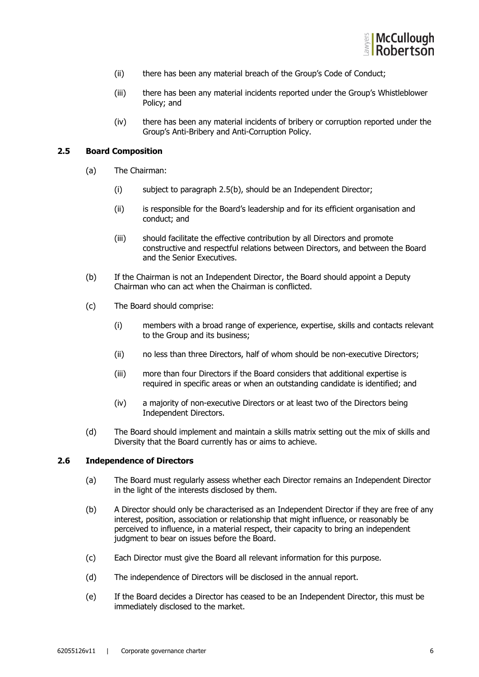

- (ii) there has been any material breach of the Group's Code of Conduct;
- (iii) there has been any material incidents reported under the Group's Whistleblower Policy; and
- (iv) there has been any material incidents of bribery or corruption reported under the Group's Anti-Bribery and Anti-Corruption Policy.

#### **2.5 Board Composition**

- (a) The Chairman:
	- (i) subject to paragraph 2.5(b), should be an Independent Director;
	- (ii) is responsible for the Board's leadership and for its efficient organisation and conduct; and
	- (iii) should facilitate the effective contribution by all Directors and promote constructive and respectful relations between Directors, and between the Board and the Senior Executives.
- (b) If the Chairman is not an Independent Director, the Board should appoint a Deputy Chairman who can act when the Chairman is conflicted.
- (c) The Board should comprise:
	- (i) members with a broad range of experience, expertise, skills and contacts relevant to the Group and its business;
	- (ii) no less than three Directors, half of whom should be non-executive Directors;
	- (iii) more than four Directors if the Board considers that additional expertise is required in specific areas or when an outstanding candidate is identified; and
	- (iv) a majority of non-executive Directors or at least two of the Directors being Independent Directors.
- (d) The Board should implement and maintain a skills matrix setting out the mix of skills and Diversity that the Board currently has or aims to achieve.

#### **2.6 Independence of Directors**

- (a) The Board must regularly assess whether each Director remains an Independent Director in the light of the interests disclosed by them.
- (b) A Director should only be characterised as an Independent Director if they are free of any interest, position, association or relationship that might influence, or reasonably be perceived to influence, in a material respect, their capacity to bring an independent judgment to bear on issues before the Board.
- (c) Each Director must give the Board all relevant information for this purpose.
- (d) The independence of Directors will be disclosed in the annual report.
- (e) If the Board decides a Director has ceased to be an Independent Director, this must be immediately disclosed to the market.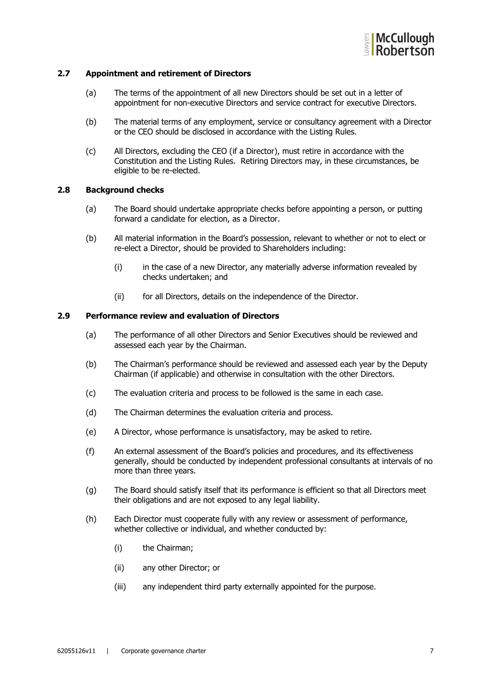

#### **2.7 Appointment and retirement of Directors**

- (a) The terms of the appointment of all new Directors should be set out in a letter of appointment for non-executive Directors and service contract for executive Directors.
- (b) The material terms of any employment, service or consultancy agreement with a Director or the CEO should be disclosed in accordance with the Listing Rules.
- (c) All Directors, excluding the CEO (if a Director), must retire in accordance with the Constitution and the Listing Rules. Retiring Directors may, in these circumstances, be eligible to be re-elected.

#### **2.8 Background checks**

- (a) The Board should undertake appropriate checks before appointing a person, or putting forward a candidate for election, as a Director.
- (b) All material information in the Board's possession, relevant to whether or not to elect or re-elect a Director, should be provided to Shareholders including:
	- (i) in the case of a new Director, any materially adverse information revealed by checks undertaken; and
	- (ii) for all Directors, details on the independence of the Director.

#### **2.9 Performance review and evaluation of Directors**

- (a) The performance of all other Directors and Senior Executives should be reviewed and assessed each year by the Chairman.
- (b) The Chairman's performance should be reviewed and assessed each year by the Deputy Chairman (if applicable) and otherwise in consultation with the other Directors.
- (c) The evaluation criteria and process to be followed is the same in each case.
- (d) The Chairman determines the evaluation criteria and process.
- (e) A Director, whose performance is unsatisfactory, may be asked to retire.
- (f) An external assessment of the Board's policies and procedures, and its effectiveness generally, should be conducted by independent professional consultants at intervals of no more than three years.
- (g) The Board should satisfy itself that its performance is efficient so that all Directors meet their obligations and are not exposed to any legal liability.
- (h) Each Director must cooperate fully with any review or assessment of performance, whether collective or individual, and whether conducted by:
	- (i) the Chairman;
	- (ii) any other Director; or
	- (iii) any independent third party externally appointed for the purpose.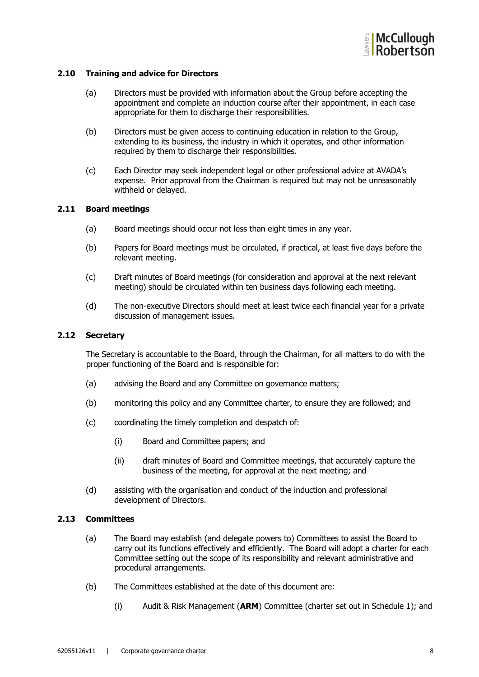

#### **2.10 Training and advice for Directors**

- (a) Directors must be provided with information about the Group before accepting the appointment and complete an induction course after their appointment, in each case appropriate for them to discharge their responsibilities.
- (b) Directors must be given access to continuing education in relation to the Group, extending to its business, the industry in which it operates, and other information required by them to discharge their responsibilities.
- (c) Each Director may seek independent legal or other professional advice at AVADA's expense. Prior approval from the Chairman is required but may not be unreasonably withheld or delayed.

#### **2.11 Board meetings**

- (a) Board meetings should occur not less than eight times in any year.
- (b) Papers for Board meetings must be circulated, if practical, at least five days before the relevant meeting.
- (c) Draft minutes of Board meetings (for consideration and approval at the next relevant meeting) should be circulated within ten business days following each meeting.
- (d) The non-executive Directors should meet at least twice each financial year for a private discussion of management issues.

#### **2.12 Secretary**

The Secretary is accountable to the Board, through the Chairman, for all matters to do with the proper functioning of the Board and is responsible for:

- (a) advising the Board and any Committee on governance matters;
- (b) monitoring this policy and any Committee charter, to ensure they are followed; and
- (c) coordinating the timely completion and despatch of:
	- (i) Board and Committee papers; and
	- (ii) draft minutes of Board and Committee meetings, that accurately capture the business of the meeting, for approval at the next meeting; and
- (d) assisting with the organisation and conduct of the induction and professional development of Directors.

#### **2.13 Committees**

- (a) The Board may establish (and delegate powers to) Committees to assist the Board to carry out its functions effectively and efficiently. The Board will adopt a charter for each Committee setting out the scope of its responsibility and relevant administrative and procedural arrangements.
- (b) The Committees established at the date of this document are:
	- (i) Audit & Risk Management (**ARM**) Committee (charter set out in Schedule 1); and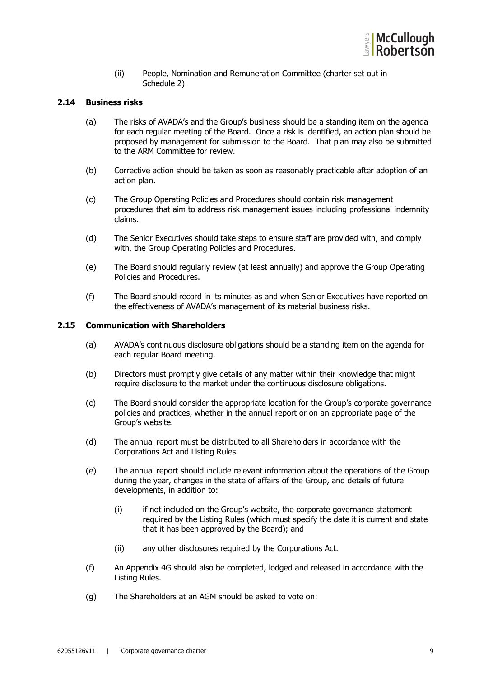

(ii) People, Nomination and Remuneration Committee (charter set out in Schedule 2).

#### **2.14 Business risks**

- (a) The risks of AVADA's and the Group's business should be a standing item on the agenda for each regular meeting of the Board. Once a risk is identified, an action plan should be proposed by management for submission to the Board. That plan may also be submitted to the ARM Committee for review.
- (b) Corrective action should be taken as soon as reasonably practicable after adoption of an action plan.
- (c) The Group Operating Policies and Procedures should contain risk management procedures that aim to address risk management issues including professional indemnity claims.
- (d) The Senior Executives should take steps to ensure staff are provided with, and comply with, the Group Operating Policies and Procedures.
- (e) The Board should regularly review (at least annually) and approve the Group Operating Policies and Procedures.
- (f) The Board should record in its minutes as and when Senior Executives have reported on the effectiveness of AVADA's management of its material business risks.

#### **2.15 Communication with Shareholders**

- (a) AVADA's continuous disclosure obligations should be a standing item on the agenda for each regular Board meeting.
- (b) Directors must promptly give details of any matter within their knowledge that might require disclosure to the market under the continuous disclosure obligations.
- (c) The Board should consider the appropriate location for the Group's corporate governance policies and practices, whether in the annual report or on an appropriate page of the Group's website.
- (d) The annual report must be distributed to all Shareholders in accordance with the Corporations Act and Listing Rules.
- (e) The annual report should include relevant information about the operations of the Group during the year, changes in the state of affairs of the Group, and details of future developments, in addition to:
	- (i) if not included on the Group's website, the corporate governance statement required by the Listing Rules (which must specify the date it is current and state that it has been approved by the Board); and
	- (ii) any other disclosures required by the Corporations Act.
- (f) An Appendix 4G should also be completed, lodged and released in accordance with the Listing Rules.
- (g) The Shareholders at an AGM should be asked to vote on: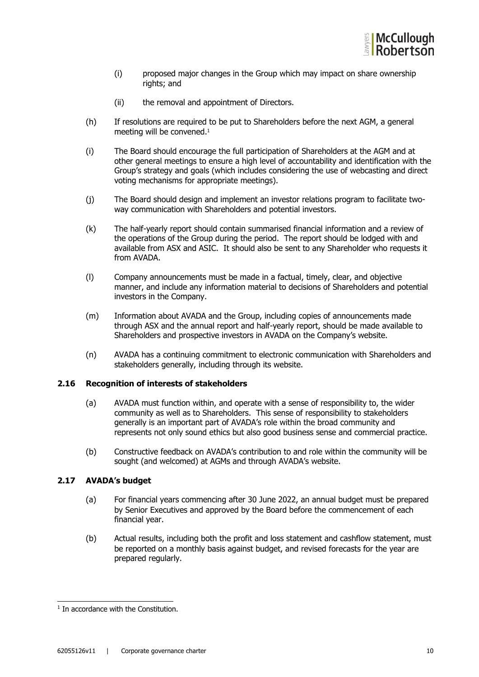

- (i) proposed major changes in the Group which may impact on share ownership rights; and
- (ii) the removal and appointment of Directors.
- (h) If resolutions are required to be put to Shareholders before the next AGM, a general meeting will be convened.<sup>1</sup>
- (i) The Board should encourage the full participation of Shareholders at the AGM and at other general meetings to ensure a high level of accountability and identification with the Group's strategy and goals (which includes considering the use of webcasting and direct voting mechanisms for appropriate meetings).
- (j) The Board should design and implement an investor relations program to facilitate twoway communication with Shareholders and potential investors.
- (k) The half-yearly report should contain summarised financial information and a review of the operations of the Group during the period. The report should be lodged with and available from ASX and ASIC. It should also be sent to any Shareholder who requests it from AVADA.
- (l) Company announcements must be made in a factual, timely, clear, and objective manner, and include any information material to decisions of Shareholders and potential investors in the Company.
- (m) Information about AVADA and the Group, including copies of announcements made through ASX and the annual report and half-yearly report, should be made available to Shareholders and prospective investors in AVADA on the Company's website.
- (n) AVADA has a continuing commitment to electronic communication with Shareholders and stakeholders generally, including through its website.

#### **2.16 Recognition of interests of stakeholders**

- (a) AVADA must function within, and operate with a sense of responsibility to, the wider community as well as to Shareholders. This sense of responsibility to stakeholders generally is an important part of AVADA's role within the broad community and represents not only sound ethics but also good business sense and commercial practice.
- (b) Constructive feedback on AVADA's contribution to and role within the community will be sought (and welcomed) at AGMs and through AVADA's website.

#### **2.17 AVADA's budget**

- (a) For financial years commencing after 30 June 2022, an annual budget must be prepared by Senior Executives and approved by the Board before the commencement of each financial year.
- (b) Actual results, including both the profit and loss statement and cashflow statement, must be reported on a monthly basis against budget, and revised forecasts for the year are prepared regularly.

 $<sup>1</sup>$  In accordance with the Constitution.</sup>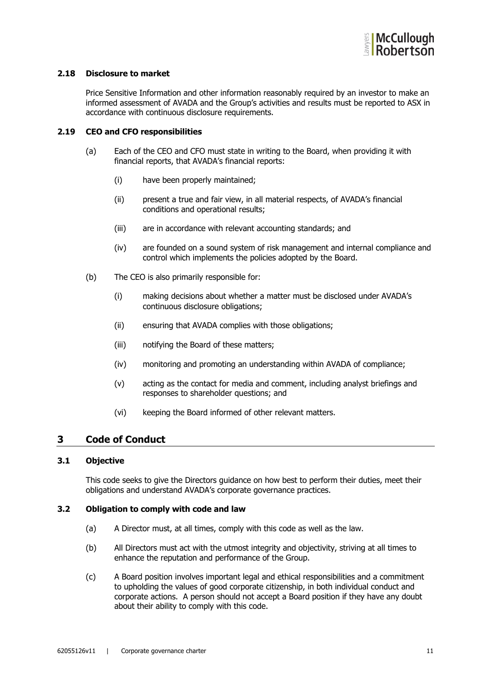

#### **2.18 Disclosure to market**

Price Sensitive Information and other information reasonably required by an investor to make an informed assessment of AVADA and the Group's activities and results must be reported to ASX in accordance with continuous disclosure requirements.

#### **2.19 CEO and CFO responsibilities**

- (a) Each of the CEO and CFO must state in writing to the Board, when providing it with financial reports, that AVADA's financial reports:
	- (i) have been properly maintained;
	- (ii) present a true and fair view, in all material respects, of AVADA's financial conditions and operational results;
	- (iii) are in accordance with relevant accounting standards; and
	- (iv) are founded on a sound system of risk management and internal compliance and control which implements the policies adopted by the Board.
- (b) The CEO is also primarily responsible for:
	- (i) making decisions about whether a matter must be disclosed under AVADA's continuous disclosure obligations;
	- (ii) ensuring that AVADA complies with those obligations;
	- (iii) notifying the Board of these matters;
	- (iv) monitoring and promoting an understanding within AVADA of compliance;
	- (v) acting as the contact for media and comment, including analyst briefings and responses to shareholder questions; and
	- (vi) keeping the Board informed of other relevant matters.

# **3 Code of Conduct**

#### **3.1 Objective**

This code seeks to give the Directors guidance on how best to perform their duties, meet their obligations and understand AVADA's corporate governance practices.

#### **3.2 Obligation to comply with code and law**

- (a) A Director must, at all times, comply with this code as well as the law.
- (b) All Directors must act with the utmost integrity and objectivity, striving at all times to enhance the reputation and performance of the Group.
- (c) A Board position involves important legal and ethical responsibilities and a commitment to upholding the values of good corporate citizenship, in both individual conduct and corporate actions. A person should not accept a Board position if they have any doubt about their ability to comply with this code.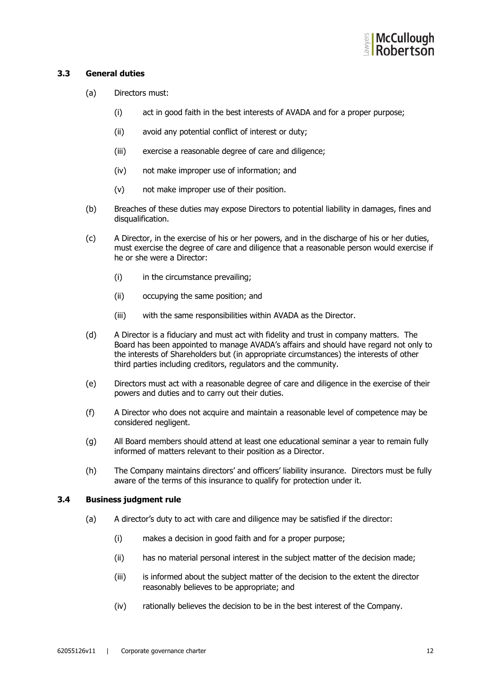

#### **3.3 General duties**

- (a) Directors must:
	- (i) act in good faith in the best interests of AVADA and for a proper purpose;
	- (ii) avoid any potential conflict of interest or duty;
	- (iii) exercise a reasonable degree of care and diligence;
	- (iv) not make improper use of information; and
	- (v) not make improper use of their position.
- (b) Breaches of these duties may expose Directors to potential liability in damages, fines and disqualification.
- (c) A Director, in the exercise of his or her powers, and in the discharge of his or her duties, must exercise the degree of care and diligence that a reasonable person would exercise if he or she were a Director:
	- (i) in the circumstance prevailing;
	- (ii) occupying the same position; and
	- (iii) with the same responsibilities within AVADA as the Director.
- (d) A Director is a fiduciary and must act with fidelity and trust in company matters. The Board has been appointed to manage AVADA's affairs and should have regard not only to the interests of Shareholders but (in appropriate circumstances) the interests of other third parties including creditors, regulators and the community.
- (e) Directors must act with a reasonable degree of care and diligence in the exercise of their powers and duties and to carry out their duties.
- (f) A Director who does not acquire and maintain a reasonable level of competence may be considered negligent.
- (g) All Board members should attend at least one educational seminar a year to remain fully informed of matters relevant to their position as a Director.
- (h) The Company maintains directors' and officers' liability insurance. Directors must be fully aware of the terms of this insurance to qualify for protection under it.

#### **3.4 Business judgment rule**

- (a) A director's duty to act with care and diligence may be satisfied if the director:
	- (i) makes a decision in good faith and for a proper purpose;
	- (ii) has no material personal interest in the subject matter of the decision made;
	- (iii) is informed about the subject matter of the decision to the extent the director reasonably believes to be appropriate; and
	- (iv) rationally believes the decision to be in the best interest of the Company.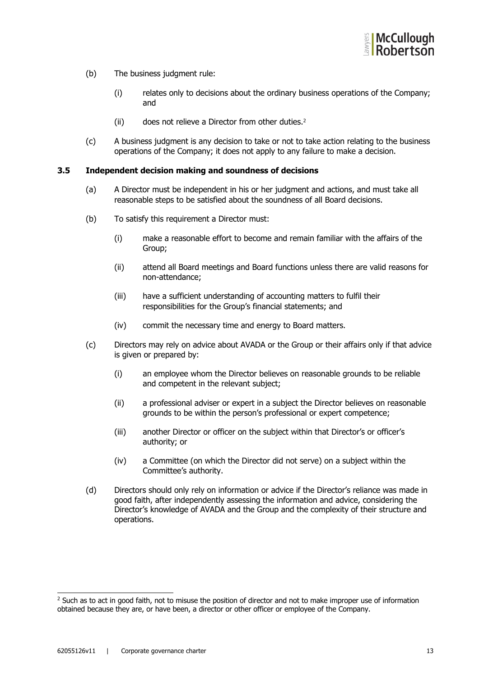

- (b) The business judgment rule:
	- (i) relates only to decisions about the ordinary business operations of the Company; and
	- (ii) does not relieve a Director from other duties.2
- (c) A business judgment is any decision to take or not to take action relating to the business operations of the Company; it does not apply to any failure to make a decision.

#### **3.5 Independent decision making and soundness of decisions**

- (a) A Director must be independent in his or her judgment and actions, and must take all reasonable steps to be satisfied about the soundness of all Board decisions.
- (b) To satisfy this requirement a Director must:
	- (i) make a reasonable effort to become and remain familiar with the affairs of the Group;
	- (ii) attend all Board meetings and Board functions unless there are valid reasons for non-attendance;
	- (iii) have a sufficient understanding of accounting matters to fulfil their responsibilities for the Group's financial statements; and
	- (iv) commit the necessary time and energy to Board matters.
- (c) Directors may rely on advice about AVADA or the Group or their affairs only if that advice is given or prepared by:
	- (i) an employee whom the Director believes on reasonable grounds to be reliable and competent in the relevant subject;
	- (ii) a professional adviser or expert in a subject the Director believes on reasonable grounds to be within the person's professional or expert competence;
	- (iii) another Director or officer on the subject within that Director's or officer's authority; or
	- (iv) a Committee (on which the Director did not serve) on a subject within the Committee's authority.
- (d) Directors should only rely on information or advice if the Director's reliance was made in good faith, after independently assessing the information and advice, considering the Director's knowledge of AVADA and the Group and the complexity of their structure and operations.

<sup>&</sup>lt;sup>2</sup> Such as to act in good faith, not to misuse the position of director and not to make improper use of information obtained because they are, or have been, a director or other officer or employee of the Company.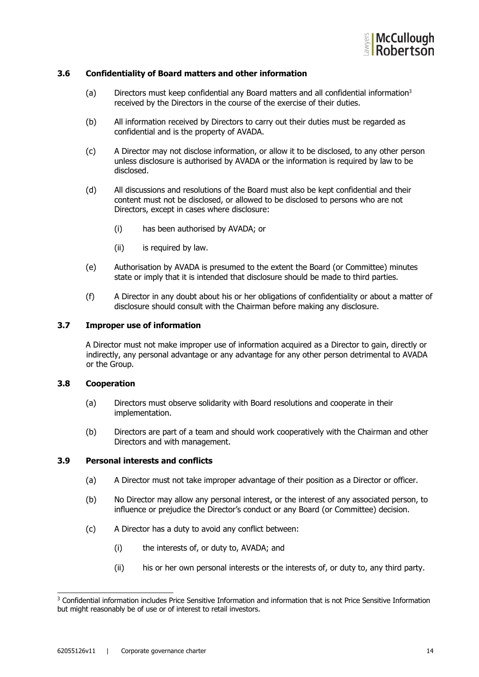

#### **3.6 Confidentiality of Board matters and other information**

- (a) Directors must keep confidential any Board matters and all confidential information3 received by the Directors in the course of the exercise of their duties.
- (b) All information received by Directors to carry out their duties must be regarded as confidential and is the property of AVADA.
- (c) A Director may not disclose information, or allow it to be disclosed, to any other person unless disclosure is authorised by AVADA or the information is required by law to be disclosed.
- (d) All discussions and resolutions of the Board must also be kept confidential and their content must not be disclosed, or allowed to be disclosed to persons who are not Directors, except in cases where disclosure:
	- (i) has been authorised by AVADA; or
	- (ii) is required by law.
- (e) Authorisation by AVADA is presumed to the extent the Board (or Committee) minutes state or imply that it is intended that disclosure should be made to third parties.
- (f) A Director in any doubt about his or her obligations of confidentiality or about a matter of disclosure should consult with the Chairman before making any disclosure.

#### **3.7 Improper use of information**

A Director must not make improper use of information acquired as a Director to gain, directly or indirectly, any personal advantage or any advantage for any other person detrimental to AVADA or the Group.

#### **3.8 Cooperation**

- (a) Directors must observe solidarity with Board resolutions and cooperate in their implementation.
- (b) Directors are part of a team and should work cooperatively with the Chairman and other Directors and with management.

#### **3.9 Personal interests and conflicts**

- (a) A Director must not take improper advantage of their position as a Director or officer.
- (b) No Director may allow any personal interest, or the interest of any associated person, to influence or prejudice the Director's conduct or any Board (or Committee) decision.
- (c) A Director has a duty to avoid any conflict between:
	- (i) the interests of, or duty to, AVADA; and
	- (ii) his or her own personal interests or the interests of, or duty to, any third party.

<sup>3</sup> Confidential information includes Price Sensitive Information and information that is not Price Sensitive Information but might reasonably be of use or of interest to retail investors.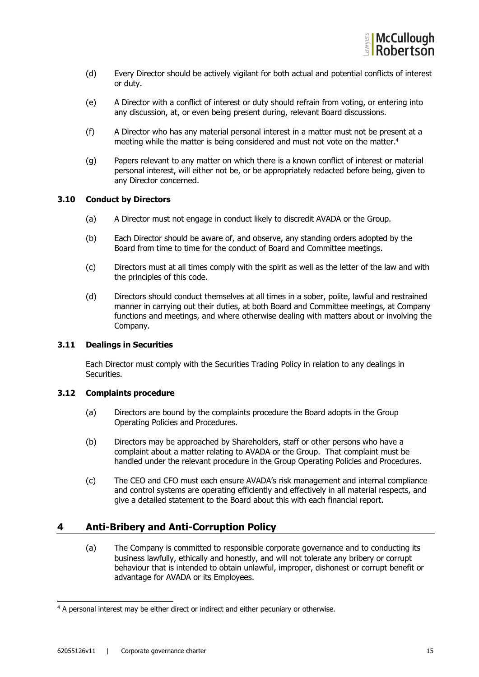

- (d) Every Director should be actively vigilant for both actual and potential conflicts of interest or duty.
- (e) A Director with a conflict of interest or duty should refrain from voting, or entering into any discussion, at, or even being present during, relevant Board discussions.
- (f) A Director who has any material personal interest in a matter must not be present at a meeting while the matter is being considered and must not vote on the matter.<sup>4</sup>
- (g) Papers relevant to any matter on which there is a known conflict of interest or material personal interest, will either not be, or be appropriately redacted before being, given to any Director concerned.

#### **3.10 Conduct by Directors**

- (a) A Director must not engage in conduct likely to discredit AVADA or the Group.
- (b) Each Director should be aware of, and observe, any standing orders adopted by the Board from time to time for the conduct of Board and Committee meetings.
- (c) Directors must at all times comply with the spirit as well as the letter of the law and with the principles of this code.
- (d) Directors should conduct themselves at all times in a sober, polite, lawful and restrained manner in carrying out their duties, at both Board and Committee meetings, at Company functions and meetings, and where otherwise dealing with matters about or involving the Company.

#### **3.11 Dealings in Securities**

Each Director must comply with the Securities Trading Policy in relation to any dealings in Securities.

#### **3.12 Complaints procedure**

- (a) Directors are bound by the complaints procedure the Board adopts in the Group Operating Policies and Procedures.
- (b) Directors may be approached by Shareholders, staff or other persons who have a complaint about a matter relating to AVADA or the Group. That complaint must be handled under the relevant procedure in the Group Operating Policies and Procedures.
- (c) The CEO and CFO must each ensure AVADA's risk management and internal compliance and control systems are operating efficiently and effectively in all material respects, and give a detailed statement to the Board about this with each financial report.

# **4 Anti-Bribery and Anti-Corruption Policy**

(a) The Company is committed to responsible corporate governance and to conducting its business lawfully, ethically and honestly, and will not tolerate any bribery or corrupt behaviour that is intended to obtain unlawful, improper, dishonest or corrupt benefit or advantage for AVADA or its Employees.

<sup>&</sup>lt;sup>4</sup> A personal interest may be either direct or indirect and either pecuniary or otherwise.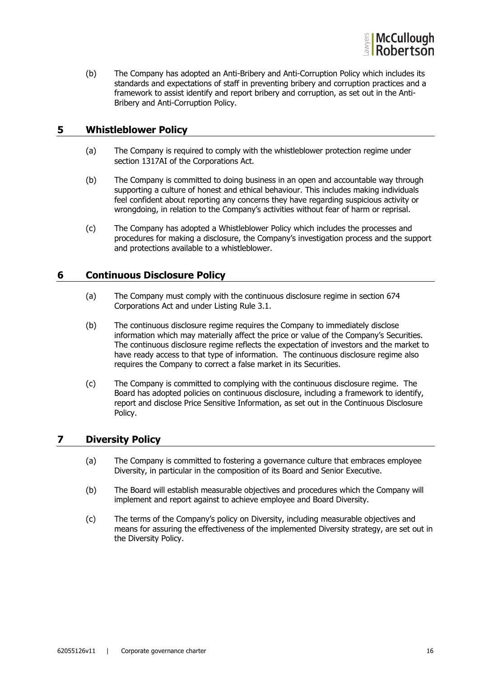

(b) The Company has adopted an Anti-Bribery and Anti-Corruption Policy which includes its standards and expectations of staff in preventing bribery and corruption practices and a framework to assist identify and report bribery and corruption, as set out in the Anti-Bribery and Anti-Corruption Policy.

# **5 Whistleblower Policy**

- (a) The Company is required to comply with the whistleblower protection regime under section 1317AI of the Corporations Act.
- (b) The Company is committed to doing business in an open and accountable way through supporting a culture of honest and ethical behaviour. This includes making individuals feel confident about reporting any concerns they have regarding suspicious activity or wrongdoing, in relation to the Company's activities without fear of harm or reprisal.
- (c) The Company has adopted a Whistleblower Policy which includes the processes and procedures for making a disclosure, the Company's investigation process and the support and protections available to a whistleblower.

## **6 Continuous Disclosure Policy**

- (a) The Company must comply with the continuous disclosure regime in section 674 Corporations Act and under Listing Rule 3.1.
- (b) The continuous disclosure regime requires the Company to immediately disclose information which may materially affect the price or value of the Company's Securities. The continuous disclosure regime reflects the expectation of investors and the market to have ready access to that type of information. The continuous disclosure regime also requires the Company to correct a false market in its Securities.
- (c) The Company is committed to complying with the continuous disclosure regime. The Board has adopted policies on continuous disclosure, including a framework to identify, report and disclose Price Sensitive Information, as set out in the Continuous Disclosure Policy.

# **7 Diversity Policy**

- (a) The Company is committed to fostering a governance culture that embraces employee Diversity, in particular in the composition of its Board and Senior Executive.
- (b) The Board will establish measurable objectives and procedures which the Company will implement and report against to achieve employee and Board Diversity.
- (c) The terms of the Company's policy on Diversity, including measurable objectives and means for assuring the effectiveness of the implemented Diversity strategy, are set out in the Diversity Policy.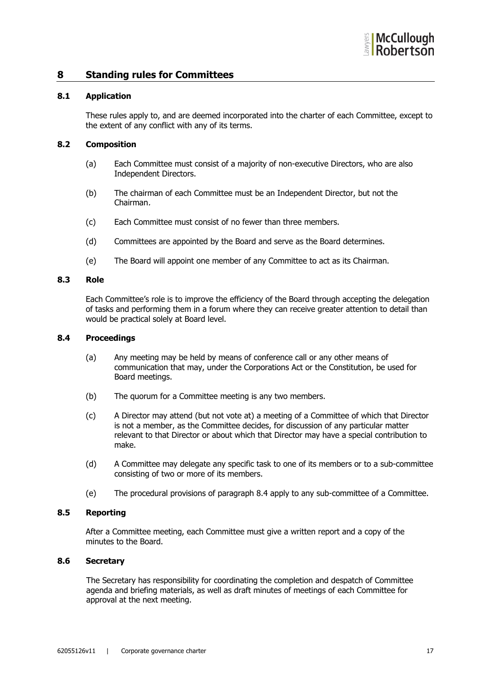

#### **8 Standing rules for Committees**

#### **8.1 Application**

These rules apply to, and are deemed incorporated into the charter of each Committee, except to the extent of any conflict with any of its terms.

#### **8.2 Composition**

- (a) Each Committee must consist of a majority of non-executive Directors, who are also Independent Directors.
- (b) The chairman of each Committee must be an Independent Director, but not the Chairman.
- (c) Each Committee must consist of no fewer than three members.
- (d) Committees are appointed by the Board and serve as the Board determines.
- (e) The Board will appoint one member of any Committee to act as its Chairman.

#### **8.3 Role**

Each Committee's role is to improve the efficiency of the Board through accepting the delegation of tasks and performing them in a forum where they can receive greater attention to detail than would be practical solely at Board level.

#### **8.4 Proceedings**

- (a) Any meeting may be held by means of conference call or any other means of communication that may, under the Corporations Act or the Constitution, be used for Board meetings.
- (b) The quorum for a Committee meeting is any two members.
- (c) A Director may attend (but not vote at) a meeting of a Committee of which that Director is not a member, as the Committee decides, for discussion of any particular matter relevant to that Director or about which that Director may have a special contribution to make.
- (d) A Committee may delegate any specific task to one of its members or to a sub-committee consisting of two or more of its members.
- (e) The procedural provisions of paragraph 8.4 apply to any sub-committee of a Committee.

#### **8.5 Reporting**

After a Committee meeting, each Committee must give a written report and a copy of the minutes to the Board.

#### **8.6 Secretary**

The Secretary has responsibility for coordinating the completion and despatch of Committee agenda and briefing materials, as well as draft minutes of meetings of each Committee for approval at the next meeting.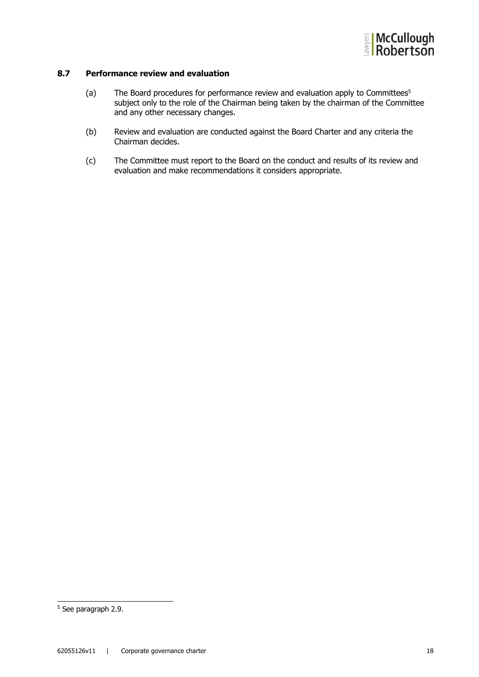

#### **8.7 Performance review and evaluation**

- (a) The Board procedures for performance review and evaluation apply to Committees5 subject only to the role of the Chairman being taken by the chairman of the Committee and any other necessary changes.
- (b) Review and evaluation are conducted against the Board Charter and any criteria the Chairman decides.
- (c) The Committee must report to the Board on the conduct and results of its review and evaluation and make recommendations it considers appropriate.

<sup>5</sup> See paragraph 2.9.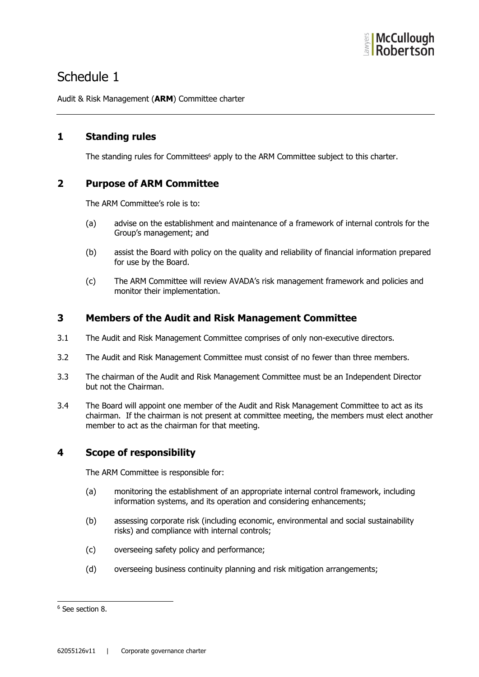

# Schedule 1

Audit & Risk Management (**ARM**) Committee charter

# **1 Standing rules**

The standing rules for Committees<sup>6</sup> apply to the ARM Committee subject to this charter.

# **2 Purpose of ARM Committee**

The ARM Committee's role is to:

- (a) advise on the establishment and maintenance of a framework of internal controls for the Group's management; and
- (b) assist the Board with policy on the quality and reliability of financial information prepared for use by the Board.
- (c) The ARM Committee will review AVADA's risk management framework and policies and monitor their implementation.

# **3 Members of the Audit and Risk Management Committee**

- 3.1 The Audit and Risk Management Committee comprises of only non-executive directors.
- 3.2 The Audit and Risk Management Committee must consist of no fewer than three members.
- 3.3 The chairman of the Audit and Risk Management Committee must be an Independent Director but not the Chairman.
- 3.4 The Board will appoint one member of the Audit and Risk Management Committee to act as its chairman. If the chairman is not present at committee meeting, the members must elect another member to act as the chairman for that meeting.

# **4 Scope of responsibility**

The ARM Committee is responsible for:

- (a) monitoring the establishment of an appropriate internal control framework, including information systems, and its operation and considering enhancements;
- (b) assessing corporate risk (including economic, environmental and social sustainability risks) and compliance with internal controls;
- (c) overseeing safety policy and performance;
- (d) overseeing business continuity planning and risk mitigation arrangements;

<sup>6</sup> See section 8.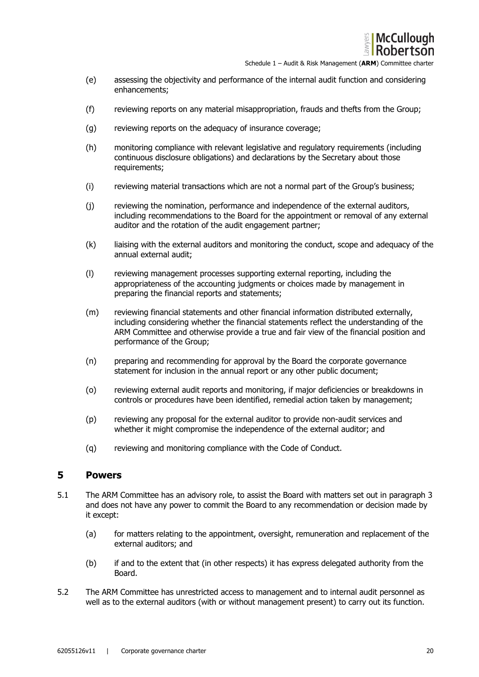

Schedule 1 – Audit & Risk Management (**ARM**) Committee charter

- (e) assessing the objectivity and performance of the internal audit function and considering enhancements;
- (f) reviewing reports on any material misappropriation, frauds and thefts from the Group;
- (g) reviewing reports on the adequacy of insurance coverage;
- (h) monitoring compliance with relevant legislative and regulatory requirements (including continuous disclosure obligations) and declarations by the Secretary about those requirements;
- (i) reviewing material transactions which are not a normal part of the Group's business;
- (j) reviewing the nomination, performance and independence of the external auditors, including recommendations to the Board for the appointment or removal of any external auditor and the rotation of the audit engagement partner;
- (k) liaising with the external auditors and monitoring the conduct, scope and adequacy of the annual external audit;
- (l) reviewing management processes supporting external reporting, including the appropriateness of the accounting judgments or choices made by management in preparing the financial reports and statements;
- (m) reviewing financial statements and other financial information distributed externally, including considering whether the financial statements reflect the understanding of the ARM Committee and otherwise provide a true and fair view of the financial position and performance of the Group;
- (n) preparing and recommending for approval by the Board the corporate governance statement for inclusion in the annual report or any other public document;
- (o) reviewing external audit reports and monitoring, if major deficiencies or breakdowns in controls or procedures have been identified, remedial action taken by management;
- (p) reviewing any proposal for the external auditor to provide non-audit services and whether it might compromise the independence of the external auditor; and
- (q) reviewing and monitoring compliance with the Code of Conduct.

#### **5 Powers**

- 5.1 The ARM Committee has an advisory role, to assist the Board with matters set out in paragraph 3 and does not have any power to commit the Board to any recommendation or decision made by it except:
	- (a) for matters relating to the appointment, oversight, remuneration and replacement of the external auditors; and
	- (b) if and to the extent that (in other respects) it has express delegated authority from the Board.
- 5.2 The ARM Committee has unrestricted access to management and to internal audit personnel as well as to the external auditors (with or without management present) to carry out its function.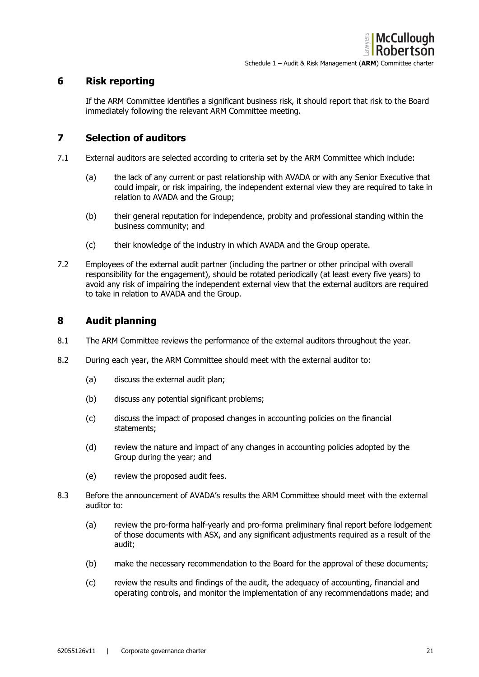# **6 Risk reporting**

If the ARM Committee identifies a significant business risk, it should report that risk to the Board immediately following the relevant ARM Committee meeting.

# **7 Selection of auditors**

- 7.1 External auditors are selected according to criteria set by the ARM Committee which include:
	- (a) the lack of any current or past relationship with AVADA or with any Senior Executive that could impair, or risk impairing, the independent external view they are required to take in relation to AVADA and the Group;
	- (b) their general reputation for independence, probity and professional standing within the business community; and
	- (c) their knowledge of the industry in which AVADA and the Group operate.
- 7.2 Employees of the external audit partner (including the partner or other principal with overall responsibility for the engagement), should be rotated periodically (at least every five years) to avoid any risk of impairing the independent external view that the external auditors are required to take in relation to AVADA and the Group.

# **8 Audit planning**

- 8.1 The ARM Committee reviews the performance of the external auditors throughout the year.
- 8.2 During each year, the ARM Committee should meet with the external auditor to:
	- (a) discuss the external audit plan;
	- (b) discuss any potential significant problems;
	- (c) discuss the impact of proposed changes in accounting policies on the financial statements;
	- (d) review the nature and impact of any changes in accounting policies adopted by the Group during the year; and
	- (e) review the proposed audit fees.
- 8.3 Before the announcement of AVADA's results the ARM Committee should meet with the external auditor to:
	- (a) review the pro-forma half-yearly and pro-forma preliminary final report before lodgement of those documents with ASX, and any significant adjustments required as a result of the audit;
	- (b) make the necessary recommendation to the Board for the approval of these documents;
	- (c) review the results and findings of the audit, the adequacy of accounting, financial and operating controls, and monitor the implementation of any recommendations made; and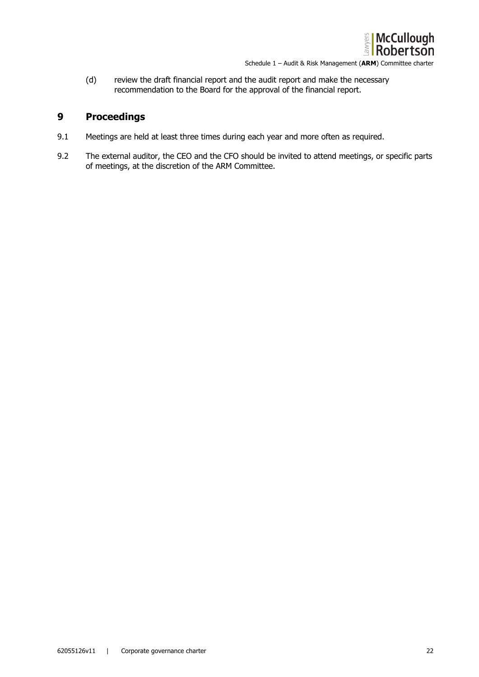

(d) review the draft financial report and the audit report and make the necessary recommendation to the Board for the approval of the financial report.

# **9 Proceedings**

- 9.1 Meetings are held at least three times during each year and more often as required.
- 9.2 The external auditor, the CEO and the CFO should be invited to attend meetings, or specific parts of meetings, at the discretion of the ARM Committee.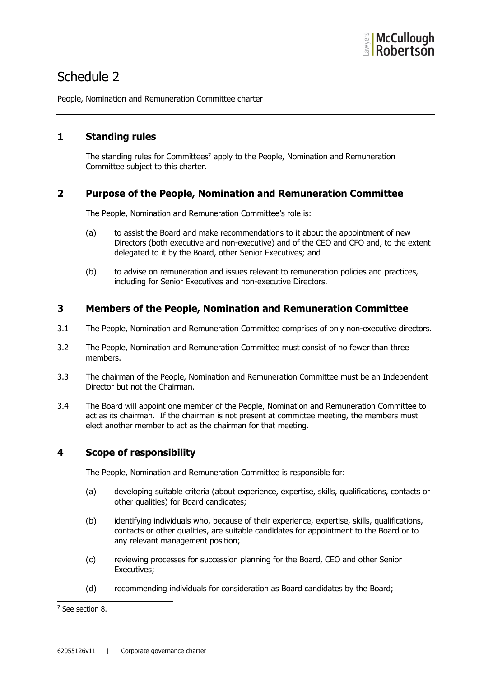

# Schedule 2

People, Nomination and Remuneration Committee charter

# **1 Standing rules**

The standing rules for Committees<sup>7</sup> apply to the People, Nomination and Remuneration Committee subject to this charter.

# **2 Purpose of the People, Nomination and Remuneration Committee**

The People, Nomination and Remuneration Committee's role is:

- (a) to assist the Board and make recommendations to it about the appointment of new Directors (both executive and non-executive) and of the CEO and CFO and, to the extent delegated to it by the Board, other Senior Executives; and
- (b) to advise on remuneration and issues relevant to remuneration policies and practices, including for Senior Executives and non-executive Directors.

# **3 Members of the People, Nomination and Remuneration Committee**

- 3.1 The People, Nomination and Remuneration Committee comprises of only non-executive directors.
- 3.2 The People, Nomination and Remuneration Committee must consist of no fewer than three members.
- 3.3 The chairman of the People, Nomination and Remuneration Committee must be an Independent Director but not the Chairman.
- 3.4 The Board will appoint one member of the People, Nomination and Remuneration Committee to act as its chairman. If the chairman is not present at committee meeting, the members must elect another member to act as the chairman for that meeting.

# **4 Scope of responsibility**

The People, Nomination and Remuneration Committee is responsible for:

- (a) developing suitable criteria (about experience, expertise, skills, qualifications, contacts or other qualities) for Board candidates;
- (b) identifying individuals who, because of their experience, expertise, skills, qualifications, contacts or other qualities, are suitable candidates for appointment to the Board or to any relevant management position;
- (c) reviewing processes for succession planning for the Board, CEO and other Senior Executives;
- (d) recommending individuals for consideration as Board candidates by the Board;

<sup>7</sup> See section 8.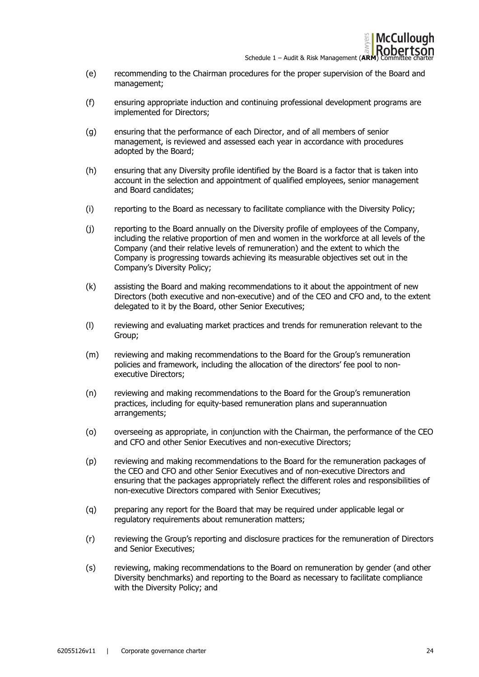

Schedule 1 – Audit & Risk Management (**ARM**) Committee Connection of Charter of Charter and Connection of Charter and Charter and Charter and Charter and Charter and Charter and Charter and Charter and Charter and Charter

- (e) recommending to the Chairman procedures for the proper supervision of the Board and management;
- (f) ensuring appropriate induction and continuing professional development programs are implemented for Directors;
- (g) ensuring that the performance of each Director, and of all members of senior management, is reviewed and assessed each year in accordance with procedures adopted by the Board;
- (h) ensuring that any Diversity profile identified by the Board is a factor that is taken into account in the selection and appointment of qualified employees, senior management and Board candidates;
- (i) reporting to the Board as necessary to facilitate compliance with the Diversity Policy;
- (j) reporting to the Board annually on the Diversity profile of employees of the Company, including the relative proportion of men and women in the workforce at all levels of the Company (and their relative levels of remuneration) and the extent to which the Company is progressing towards achieving its measurable objectives set out in the Company's Diversity Policy;
- (k) assisting the Board and making recommendations to it about the appointment of new Directors (both executive and non-executive) and of the CEO and CFO and, to the extent delegated to it by the Board, other Senior Executives;
- (l) reviewing and evaluating market practices and trends for remuneration relevant to the Group;
- (m) reviewing and making recommendations to the Board for the Group's remuneration policies and framework, including the allocation of the directors' fee pool to nonexecutive Directors;
- (n) reviewing and making recommendations to the Board for the Group's remuneration practices, including for equity-based remuneration plans and superannuation arrangements;
- (o) overseeing as appropriate, in conjunction with the Chairman, the performance of the CEO and CFO and other Senior Executives and non-executive Directors;
- (p) reviewing and making recommendations to the Board for the remuneration packages of the CEO and CFO and other Senior Executives and of non-executive Directors and ensuring that the packages appropriately reflect the different roles and responsibilities of non-executive Directors compared with Senior Executives;
- (q) preparing any report for the Board that may be required under applicable legal or regulatory requirements about remuneration matters;
- (r) reviewing the Group's reporting and disclosure practices for the remuneration of Directors and Senior Executives;
- (s) reviewing, making recommendations to the Board on remuneration by gender (and other Diversity benchmarks) and reporting to the Board as necessary to facilitate compliance with the Diversity Policy; and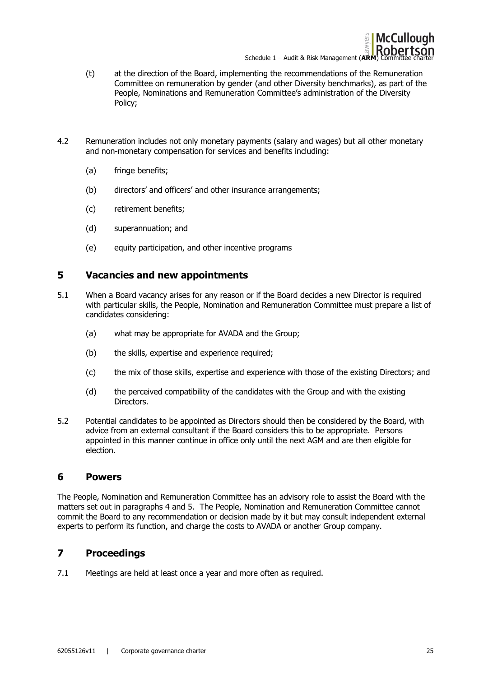

- (t) at the direction of the Board, implementing the recommendations of the Remuneration Committee on remuneration by gender (and other Diversity benchmarks), as part of the People, Nominations and Remuneration Committee's administration of the Diversity Policy;
- 4.2 Remuneration includes not only monetary payments (salary and wages) but all other monetary and non-monetary compensation for services and benefits including:
	- (a) fringe benefits;
	- (b) directors' and officers' and other insurance arrangements;
	- (c) retirement benefits;
	- (d) superannuation; and
	- (e) equity participation, and other incentive programs

## **5 Vacancies and new appointments**

- 5.1 When a Board vacancy arises for any reason or if the Board decides a new Director is required with particular skills, the People, Nomination and Remuneration Committee must prepare a list of candidates considering:
	- (a) what may be appropriate for AVADA and the Group;
	- (b) the skills, expertise and experience required;
	- (c) the mix of those skills, expertise and experience with those of the existing Directors; and
	- (d) the perceived compatibility of the candidates with the Group and with the existing Directors.
- 5.2 Potential candidates to be appointed as Directors should then be considered by the Board, with advice from an external consultant if the Board considers this to be appropriate. Persons appointed in this manner continue in office only until the next AGM and are then eligible for election.

#### **6 Powers**

The People, Nomination and Remuneration Committee has an advisory role to assist the Board with the matters set out in paragraphs 4 and 5. The People, Nomination and Remuneration Committee cannot commit the Board to any recommendation or decision made by it but may consult independent external experts to perform its function, and charge the costs to AVADA or another Group company.

# **7 Proceedings**

7.1 Meetings are held at least once a year and more often as required.